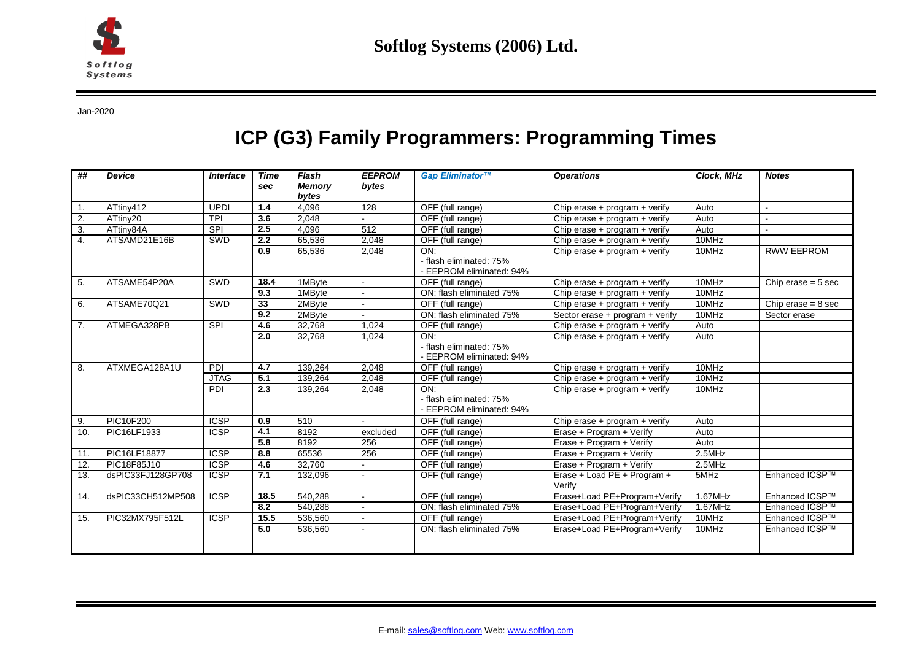

Jan-2020

## **ICP (G3) Family Programmers: Programming Times**

| ##             | <b>Device</b>     | <b>Interface</b>         | <b>Time</b><br>sec | Flash<br><b>Memory</b><br>bytes | <b>EEPROM</b><br>bytes | Gap Eliminator™                                            | <b>Operations</b>                     | Clock. MHz | <b>Notes</b>         |
|----------------|-------------------|--------------------------|--------------------|---------------------------------|------------------------|------------------------------------------------------------|---------------------------------------|------------|----------------------|
|                | ATtiny412         | <b>UPDI</b>              | 1.4                | 4,096                           | 128                    | OFF (full range)                                           | Chip erase + $program + verify$       | Auto       |                      |
| 2.             | ATtiny20          | <b>TPI</b>               | 3.6                | 2,048                           |                        | OFF (full range)                                           | Chip erase + program + verify         | Auto       |                      |
| 3.             | ATtiny84A         | SPI                      | $\overline{2.5}$   | 4.096                           | 512                    | OFF (full range)                                           | Chip erase $+$ program $+$ verify     | Auto       |                      |
| 4.             | ATSAMD21E16B      | SWD                      | 2.2                | 65,536                          | 2,048                  | OFF (full range)                                           | Chip erase + $program + verify$       | 10MHz      |                      |
|                |                   |                          | $\overline{0.9}$   | 65,536                          | 2,048                  | ON:<br>- flash eliminated: 75%<br>- EEPROM eliminated: 94% | Chip erase + program + verify         | 10MHz      | <b>RWW EEPROM</b>    |
| 5.             | ATSAME54P20A      | <b>SWD</b>               | 18.4               | 1MByte                          | $\sim$                 | OFF (full range)                                           | Chip erase + $program + verify$       | 10MHz      | Chip erase $= 5$ sec |
|                |                   |                          | 9.3                | 1MByte                          | $\mathbf{r}$           | ON: flash eliminated 75%                                   | Chip erase + program + verify         | 10MHz      |                      |
| 6.             | ATSAME70Q21       | SWD                      | 33                 | 2MByte                          | $\mathbf{r}$           | OFF (full range)                                           | Chip erase + program + verify         | 10MHz      | Chip erase $= 8$ sec |
|                |                   |                          | 9.2                | 2MByte                          | $\sim$                 | ON: flash eliminated 75%                                   | Sector erase + program + verify       | 10MHz      | Sector erase         |
| 7 <sub>1</sub> | ATMEGA328PB       | SPI                      | 4.6                | 32,768                          | 1.024                  | OFF (full range)                                           | Chip erase + $program + verify$       | Auto       |                      |
|                |                   |                          | 2.0                | 32,768                          | 1,024                  | ON:<br>- flash eliminated: 75%<br>- EEPROM eliminated: 94% | Chip erase + program + verify         | Auto       |                      |
| 8.             | ATXMEGA128A1U     | PDI                      | 4.7                | 139,264                         | 2,048                  | OFF (full range)                                           | Chip erase + $program + verify$       | 10MHz      |                      |
|                |                   | <b>JTAG</b>              | 5.1                | 139,264                         | 2,048                  | OFF (full range)                                           | Chip erase + $program + verify$       | 10MHz      |                      |
|                |                   | PDI                      | 2.3                | 139,264                         | 2,048                  | ON:<br>- flash eliminated: 75%<br>- EEPROM eliminated: 94% | Chip erase + program + verify         | 10MHz      |                      |
| 9.             | <b>PIC10F200</b>  | $\overline{\text{ICSP}}$ | 0.9                | 510                             |                        | OFF (full range)                                           | Chip erase $+$ program $+$ verify     | Auto       |                      |
| 10.            | PIC16LF1933       | <b>ICSP</b>              | 4.1                | 8192                            | excluded               | OFF (full range)                                           | Erase + Program + Verify              | Auto       |                      |
|                |                   |                          | 5.8                | 8192                            | 256                    | OFF (full range)                                           | Erase + Program + Verify              | Auto       |                      |
| 11.            | PIC16LF18877      | <b>ICSP</b>              | 8.8                | 65536                           | 256                    | OFF (full range)                                           | Erase + Program + Verify              | $2.5$ MHz  |                      |
| 12.            | PIC18F85J10       | $\overline{\text{ICSP}}$ | 4.6                | 32.760                          |                        | OFF (full range)                                           | Erase + Program + Verify              | 2.5MHz     |                      |
| 13.            | dsPIC33FJ128GP708 | <b>ICSP</b>              | 7.1                | 132,096                         | $\sim$                 | OFF (full range)                                           | Erase + Load PE + Program +<br>Verify | 5MHz       | Enhanced ICSP™       |
| 14.            | dsPIC33CH512MP508 | <b>ICSP</b>              | 18.5               | 540,288                         | $\sim$                 | OFF (full range)                                           | Erase+Load PE+Program+Verify          | 1.67MHz    | Enhanced ICSP™       |
|                |                   |                          | 8.2                | 540,288                         | $\sim$                 | ON: flash eliminated 75%                                   | Erase+Load PE+Program+Verify          | 1.67MHz    | Enhanced ICSP™       |
| 15.            | PIC32MX795F512L   | $\overline{\text{ICSP}}$ | 15.5               | 536,560                         | $\mathcal{L}$          | OFF (full range)                                           | Erase+Load PE+Program+Verify          | 10MHz      | Enhanced ICSP™       |
|                |                   |                          | 5.0                | 536,560                         |                        | ON: flash eliminated 75%                                   | Erase+Load PE+Program+Verify          | 10MHz      | Enhanced ICSP™       |